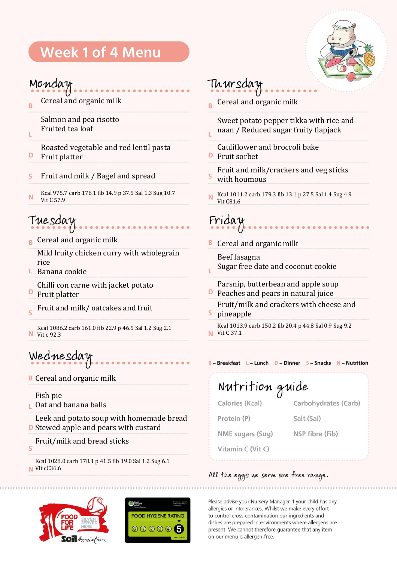# **Week 1 of 4 Menu**



## Monday

Ľ

D

Cereal and organic milk R

> Salmon and pea risotto Fruited tea loaf

Roasted vegetable and red lentil pasta Fruit platter

- Fruit and milk / Bagel and spread S
- Kcal 975.7 carb 176.1 fib 14.9 p 37.5 Sal 1.3 Sug 10.7 N Vit C 57.9

# Tuesdau

 $R$  Cereal and organic milk

Mild fruity chicken curry with wholegrain rice

- $L$  Banana cookie
- Chilli con carne with jacket potato
- D Fruit platter
- Fruit and milk/ oatcakes and fruit Ċ
- Kcal 1086.2 carb 161.0 fib 22.9 p 46.5 Sal 1.2 Sug 2.1 **N** Vit c 92.3

# Wednesday

**B** Cereal and organic milk

Fish pie

Ċ

**Catand banana balls** 

Leek and potato soup with homemade bread **D** Stewed apple and pears with custard

Fruit/milk and bread sticks

Kcal 1028.0 carb 178.1 p 41.5 fib 19.0 Sal 1.2 Sug 6.1  $N$  Vit cC36.6





# Thursday

Cereal and organic milk  $\overline{B}$ 

Sweet potato pepper tikka with rice and naan / Reduced sugar fruity flapjack

Cauliflower and broccoli bake

- **D** Fruit sorbet
- Fruit and milk/crackers and veg sticks with houmous
- Kcal 1011.2 carb 179.3 fib 13.1 p 27.5 Sal 1.4 Sug 4.9 N Vit C81.6

Friday

**B** Cereal and organic milk

- Beef lasagna Sugar free date and coconut cookie
- 
- Parsnip, butterbean and apple soup
- **P** Peaches and pears in natural juice Fruit/milk and crackers with cheese and
- pineapple

Kcal 1013.9 carb 150.2 fib 20.4 p 44.8 Sal 0.9 Sug 9.2 **N** Vit C 37.1

#### B-Breakfast L-Lunch D-Dinner S-Snacks N-Nutrition

#### Nutrition guide Calories (Kcal) Carbohydrates (Carb) Protein (P) Salt (Sal) NME sugars (Sug) NSP fibre (Fib) Vitamin C (Vit C)

### All the eggs we serve are free range.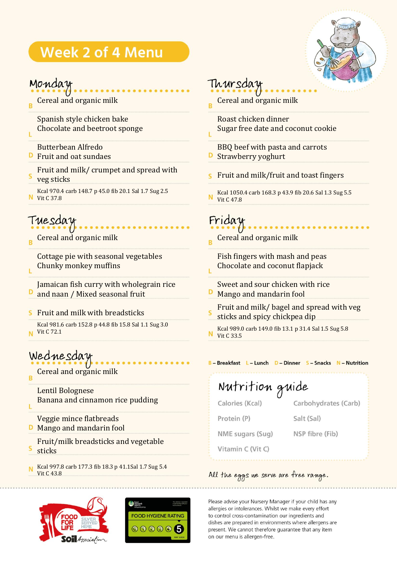# **Week 2 of 4 Menu**



## Monday

- Cereal and organic milk B
	- Spanish style chicken bake Chocolate and beetroot sponge
	- Butterbean Alfredo
- **D** Fruit and oat sundaes
- Fruit and milk/ crumpet and spread with
- veg sticks

Ĺ

Ĺ

Ľ

Kcal 970.4 carb 148.7 p 45.0 fib 20.1 Sal 1.7 Sug 2.5 **N** Vit C 37.8

# Tuesday

Cereal and organic milk

Cottage pie with seasonal vegetables Chunky monkey muffins

Jamaican fish curry with wholegrain rice D and naan / Mixed seasonal fruit

Fruit and milk with breadsticks S

Kcal 981.6 carb 152.8 p 44.8 fib 15.8 Sal 1.1 Sug 3.0 Vit C 72.1 N

# Wednesday

Cereal and organic milk B

Lentil Bolognese Banana and cinnamon rice pudding

Veggie mince flatbreads **D** Mango and mandarin fool

Fruit/milk breadsticks and vegetable sticks

Kcal 997.8 carb 177.3 fib 18.3 p 41.1Sal 1.7 Sug 5.4 N Vit C 43.8





## Thursday

Cereal and organic milk Ŕ

Roast chicken dinner Sugar free date and coconut cookie

- BBQ beef with pasta and carrots Strawberry yoghurt
- Fruit and milk/fruit and toast fingers
- Kcal 1050.4 carb 168.3 p 43.9 fib 20.6 Sal 1.3 Sug 5.5 N Vit C 47.8

Friday

ī.

Cereal and organic milk Ŕ

Fish fingers with mash and peas Chocolate and coconut flapjack

- Sweet and sour chicken with rice Mango and mandarin fool
- Fruit and milk/ bagel and spread with veg sticks and spicy chickpea dip
- Kcal 989.0 carb 149.0 fib 13.1 p 31.4 Sal 1.5 Sug 5.8 N Vit C 33.5

B-Breakfast L-Lunch D-Dinner S-Snacks N-Nutrition

Nutrition guide Calories (Kcal)

Carbohydrates (Carb)

Protein (P)

Salt (Sal)

NME sugars (Sug)

NSP fibre (Fib)

Vitamin C (Vit C)

### All the eggs we serve are free range.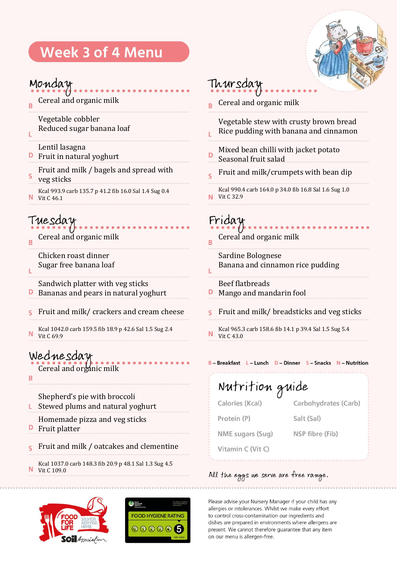# **Week 3 of 4 Menu**



### Monday

Cereal and organic milk  $\overline{B}$ 

> Vegetable cobbler Reduced sugar banana loaf

- Lentil lasagna
- **D** Fruit in natural yoghurt
- Fruit and milk / bagels and spread with S
- veg sticks

Ĺ

Kcal 993.9 carb 135.7 p 41.2 fib 16.0 Sal 1.4 Sug 0.4 N Vit C 46.1

## Tuesday

Cereal and organic milk R

Chicken roast dinner Sugar free banana loaf

Sandwich platter with veg sticks Bananas and pears in natural yoghurt

- D
- Fruit and milk/ crackers and cream cheese S
- Kcal 1042.0 carb 159.5 fib 18.9 p 42.6 Sal 1.5 Sug 2.4 N Vit C 69.9

Wednesday Cereal and organic milk

B

Ë

- Shepherd's pie with broccoli Stewed plums and natural yoghurt L.
- Homemade pizza and veg sticks
- D Fruit platter
- Fruit and milk / oatcakes and clementine  $\overline{\mathsf{S}}$
- Kcal 1037.0 carb 148.3 fib 20.9 p 48.1 Sal 1.3 Sug 4.5 Vit C 109.0





## Thursday

Cereal and organic milk

Vegetable stew with crusty brown bread Rice pudding with banana and cinnamon Ľ

- Mixed bean chilli with jacket potato D Seasonal fruit salad
- Fruit and milk/crumpets with bean dip
- Kcal 990.4 carb 164.0 p 34.0 fib 16.8 Sal 1.6 Sug 1.0 **N** Vit C 32.9

## Friday

Cereal and organic milk Ŕ

Sardine Bolognese Banana and cinnamon rice pudding Ĺ

- Beef flatbreads
- D Mango and mandarin fool
- Fruit and milk/ breadsticks and veg sticks
- Kcal 965.3 carb 158.6 fib 14.1 p 39.4 Sal 1.5 Sug 5.4 N Vit C 43.0

#### B-Breakfast L-Lunch D-Dinner S-Snacks N-Nutrition

Nutrition guide Carbohydrates (Carb) Calories (Kcal) Protein (P) Salt (Sal) NME sugars (Sug) NSP fibre (Fib) Vitamin C (Vit C)

#### All the eggs we serve are free range.